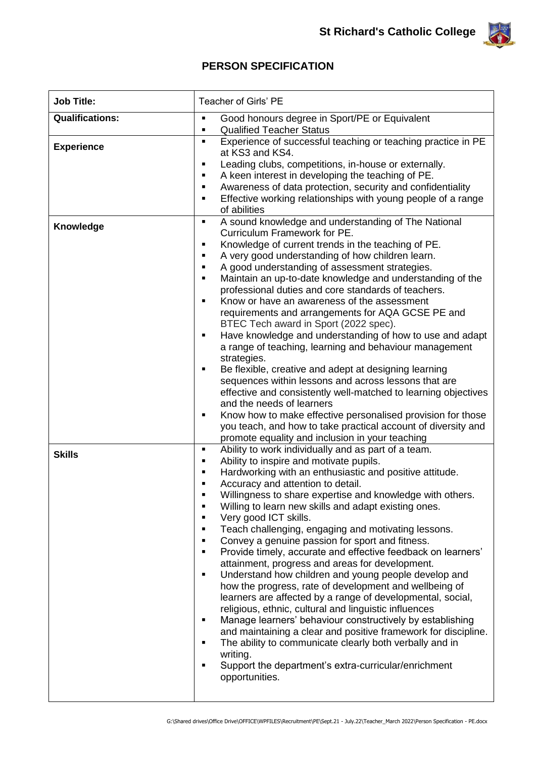

## **PERSON SPECIFICATION**

| <b>Job Title:</b>      | Teacher of Girls' PE                                                                                                                                 |
|------------------------|------------------------------------------------------------------------------------------------------------------------------------------------------|
| <b>Qualifications:</b> | Good honours degree in Sport/PE or Equivalent<br>Ξ<br><b>Qualified Teacher Status</b><br>Ξ                                                           |
| <b>Experience</b>      | Experience of successful teaching or teaching practice in PE<br>٠<br>at KS3 and KS4.<br>Leading clubs, competitions, in-house or externally.<br>Ξ    |
|                        | A keen interest in developing the teaching of PE.<br>٠                                                                                               |
|                        | Awareness of data protection, security and confidentiality<br>٠<br>Effective working relationships with young people of a range<br>٠<br>of abilities |
| Knowledge              | A sound knowledge and understanding of The National<br>٠<br>Curriculum Framework for PE.                                                             |
|                        | Knowledge of current trends in the teaching of PE.<br>٠<br>A very good understanding of how children learn.<br>٠                                     |
|                        | A good understanding of assessment strategies.<br>٠                                                                                                  |
|                        | Maintain an up-to-date knowledge and understanding of the<br>٠                                                                                       |
|                        | professional duties and core standards of teachers.                                                                                                  |
|                        | Know or have an awareness of the assessment<br>٠<br>requirements and arrangements for AQA GCSE PE and                                                |
|                        | BTEC Tech award in Sport (2022 spec).                                                                                                                |
|                        | Have knowledge and understanding of how to use and adapt<br>٠<br>a range of teaching, learning and behaviour management                              |
|                        | strategies.<br>Be flexible, creative and adept at designing learning<br>٠                                                                            |
|                        | sequences within lessons and across lessons that are                                                                                                 |
|                        | effective and consistently well-matched to learning objectives                                                                                       |
|                        | and the needs of learners                                                                                                                            |
|                        | Know how to make effective personalised provision for those<br>٠<br>you teach, and how to take practical account of diversity and                    |
|                        | promote equality and inclusion in your teaching                                                                                                      |
| <b>Skills</b>          | Ability to work individually and as part of a team.<br>٠                                                                                             |
|                        | Ability to inspire and motivate pupils.<br>٠<br>Hardworking with an enthusiastic and positive attitude.<br>٠                                         |
|                        | Accuracy and attention to detail.<br>Ξ                                                                                                               |
|                        | Willingness to share expertise and knowledge with others.                                                                                            |
|                        | Willing to learn new skills and adapt existing ones.<br>Ξ                                                                                            |
|                        | Very good ICT skills.<br>Ξ<br>٠                                                                                                                      |
|                        | Teach challenging, engaging and motivating lessons.<br>Convey a genuine passion for sport and fitness.<br>$\blacksquare$                             |
|                        | Provide timely, accurate and effective feedback on learners'<br>$\blacksquare$                                                                       |
|                        | attainment, progress and areas for development.                                                                                                      |
|                        | Understand how children and young people develop and<br>٠                                                                                            |
|                        | how the progress, rate of development and wellbeing of<br>learners are affected by a range of developmental, social,                                 |
|                        | religious, ethnic, cultural and linguistic influences                                                                                                |
|                        | Manage learners' behaviour constructively by establishing<br>$\blacksquare$                                                                          |
|                        | and maintaining a clear and positive framework for discipline.<br>The ability to communicate clearly both verbally and in<br>٠<br>writing.           |
|                        | Support the department's extra-curricular/enrichment<br>Ξ                                                                                            |
|                        | opportunities.                                                                                                                                       |